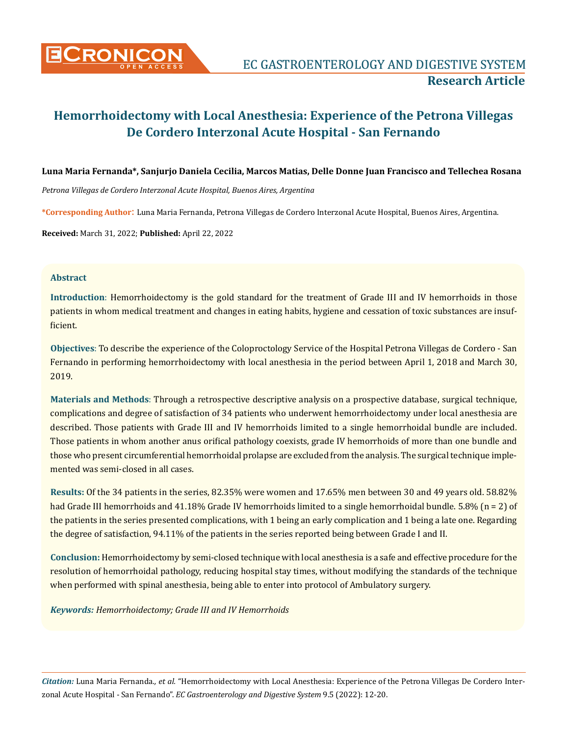

# **Luna Maria Fernanda\*, Sanjurjo Daniela Cecilia, Marcos Matias, Delle Donne Juan Francisco and Tellechea Rosana**

*Petrona Villegas de Cordero Interzonal Acute Hospital, Buenos Aires, Argentina*

**\*Corresponding Author**: Luna Maria Fernanda, Petrona Villegas de Cordero Interzonal Acute Hospital, Buenos Aires, Argentina.

**Received:** March 31, 2022; **Published:** April 22, 2022

## **Abstract**

**Introduction**: Hemorrhoidectomy is the gold standard for the treatment of Grade III and IV hemorrhoids in those patients in whom medical treatment and changes in eating habits, hygiene and cessation of toxic substances are insufficient.

**Objectives**: To describe the experience of the Coloproctology Service of the Hospital Petrona Villegas de Cordero - San Fernando in performing hemorrhoidectomy with local anesthesia in the period between April 1, 2018 and March 30, 2019.

**Materials and Methods**: Through a retrospective descriptive analysis on a prospective database, surgical technique, complications and degree of satisfaction of 34 patients who underwent hemorrhoidectomy under local anesthesia are described. Those patients with Grade III and IV hemorrhoids limited to a single hemorrhoidal bundle are included. Those patients in whom another anus orifical pathology coexists, grade IV hemorrhoids of more than one bundle and those who present circumferential hemorrhoidal prolapse are excluded from the analysis. The surgical technique implemented was semi-closed in all cases.

**Results:** Of the 34 patients in the series, 82.35% were women and 17.65% men between 30 and 49 years old. 58.82% had Grade III hemorrhoids and 41.18% Grade IV hemorrhoids limited to a single hemorrhoidal bundle. 5.8% (n = 2) of the patients in the series presented complications, with 1 being an early complication and 1 being a late one. Regarding the degree of satisfaction, 94.11% of the patients in the series reported being between Grade I and II.

**Conclusion:** Hemorrhoidectomy by semi-closed technique with local anesthesia is a safe and effective procedure for the resolution of hemorrhoidal pathology, reducing hospital stay times, without modifying the standards of the technique when performed with spinal anesthesia, being able to enter into protocol of Ambulatory surgery.

*Keywords: Hemorrhoidectomy; Grade III and IV Hemorrhoids*

*Citation:* Luna Maria Fernanda*., et al.* "Hemorrhoidectomy with Local Anesthesia: Experience of the Petrona Villegas De Cordero Interzonal Acute Hospital - San Fernando". *EC Gastroenterology and Digestive System* 9.5 (2022): 12-20.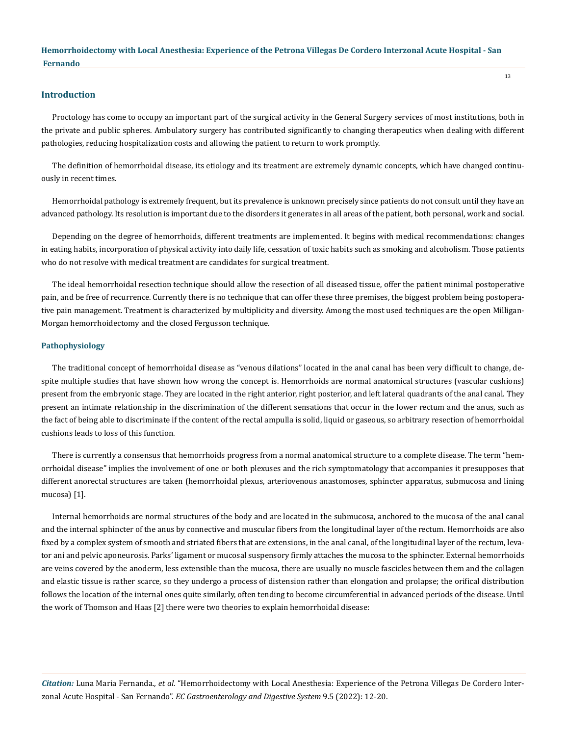#### **Introduction**

Proctology has come to occupy an important part of the surgical activity in the General Surgery services of most institutions, both in the private and public spheres. Ambulatory surgery has contributed significantly to changing therapeutics when dealing with different pathologies, reducing hospitalization costs and allowing the patient to return to work promptly.

The definition of hemorrhoidal disease, its etiology and its treatment are extremely dynamic concepts, which have changed continuously in recent times.

Hemorrhoidal pathology is extremely frequent, but its prevalence is unknown precisely since patients do not consult until they have an advanced pathology. Its resolution is important due to the disorders it generates in all areas of the patient, both personal, work and social.

Depending on the degree of hemorrhoids, different treatments are implemented. It begins with medical recommendations: changes in eating habits, incorporation of physical activity into daily life, cessation of toxic habits such as smoking and alcoholism. Those patients who do not resolve with medical treatment are candidates for surgical treatment.

The ideal hemorrhoidal resection technique should allow the resection of all diseased tissue, offer the patient minimal postoperative pain, and be free of recurrence. Currently there is no technique that can offer these three premises, the biggest problem being postoperative pain management. Treatment is characterized by multiplicity and diversity. Among the most used techniques are the open Milligan-Morgan hemorrhoidectomy and the closed Fergusson technique.

## **Pathophysiology**

The traditional concept of hemorrhoidal disease as "venous dilations" located in the anal canal has been very difficult to change, despite multiple studies that have shown how wrong the concept is. Hemorrhoids are normal anatomical structures (vascular cushions) present from the embryonic stage. They are located in the right anterior, right posterior, and left lateral quadrants of the anal canal. They present an intimate relationship in the discrimination of the different sensations that occur in the lower rectum and the anus, such as the fact of being able to discriminate if the content of the rectal ampulla is solid, liquid or gaseous, so arbitrary resection of hemorrhoidal cushions leads to loss of this function.

There is currently a consensus that hemorrhoids progress from a normal anatomical structure to a complete disease. The term "hemorrhoidal disease" implies the involvement of one or both plexuses and the rich symptomatology that accompanies it presupposes that different anorectal structures are taken (hemorrhoidal plexus, arteriovenous anastomoses, sphincter apparatus, submucosa and lining mucosa) [1].

Internal hemorrhoids are normal structures of the body and are located in the submucosa, anchored to the mucosa of the anal canal and the internal sphincter of the anus by connective and muscular fibers from the longitudinal layer of the rectum. Hemorrhoids are also fixed by a complex system of smooth and striated fibers that are extensions, in the anal canal, of the longitudinal layer of the rectum, levator ani and pelvic aponeurosis. Parks' ligament or mucosal suspensory firmly attaches the mucosa to the sphincter. External hemorrhoids are veins covered by the anoderm, less extensible than the mucosa, there are usually no muscle fascicles between them and the collagen and elastic tissue is rather scarce, so they undergo a process of distension rather than elongation and prolapse; the orifical distribution follows the location of the internal ones quite similarly, often tending to become circumferential in advanced periods of the disease. Until the work of Thomson and Haas [2] there were two theories to explain hemorrhoidal disease:

*Citation:* Luna Maria Fernanda*., et al.* "Hemorrhoidectomy with Local Anesthesia: Experience of the Petrona Villegas De Cordero Interzonal Acute Hospital - San Fernando". *EC Gastroenterology and Digestive System* 9.5 (2022): 12-20.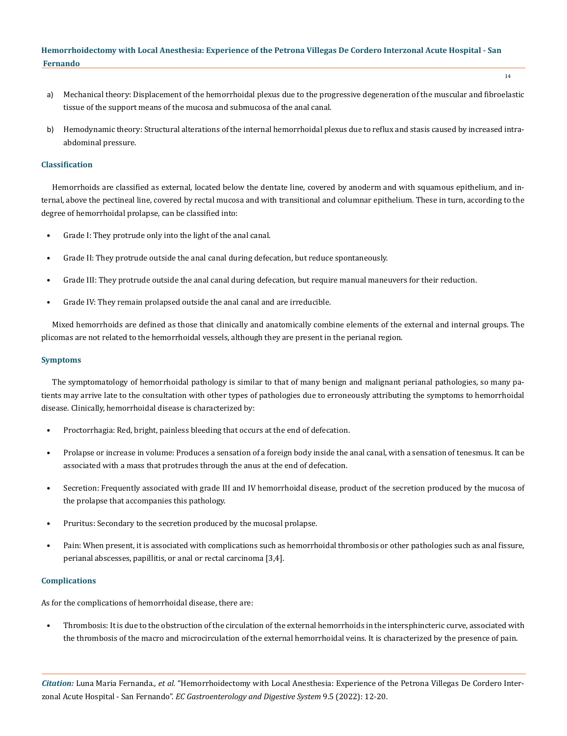- a) Mechanical theory: Displacement of the hemorrhoidal plexus due to the progressive degeneration of the muscular and fibroelastic tissue of the support means of the mucosa and submucosa of the anal canal.
- b) Hemodynamic theory: Structural alterations of the internal hemorrhoidal plexus due to reflux and stasis caused by increased intraabdominal pressure.

## **Classification**

Hemorrhoids are classified as external, located below the dentate line, covered by anoderm and with squamous epithelium, and internal, above the pectineal line, covered by rectal mucosa and with transitional and columnar epithelium. These in turn, according to the degree of hemorrhoidal prolapse, can be classified into:

- Grade I: They protrude only into the light of the anal canal.
- Grade II: They protrude outside the anal canal during defecation, but reduce spontaneously.
- Grade III: They protrude outside the anal canal during defecation, but require manual maneuvers for their reduction.
- Grade IV: They remain prolapsed outside the anal canal and are irreducible.

Mixed hemorrhoids are defined as those that clinically and anatomically combine elements of the external and internal groups. The plicomas are not related to the hemorrhoidal vessels, although they are present in the perianal region.

#### **Symptoms**

The symptomatology of hemorrhoidal pathology is similar to that of many benign and malignant perianal pathologies, so many patients may arrive late to the consultation with other types of pathologies due to erroneously attributing the symptoms to hemorrhoidal disease. Clinically, hemorrhoidal disease is characterized by:

- Proctorrhagia: Red, bright, painless bleeding that occurs at the end of defecation.
- Prolapse or increase in volume: Produces a sensation of a foreign body inside the anal canal, with a sensation of tenesmus. It can be associated with a mass that protrudes through the anus at the end of defecation.
- Secretion: Frequently associated with grade III and IV hemorrhoidal disease, product of the secretion produced by the mucosa of the prolapse that accompanies this pathology.
- Pruritus: Secondary to the secretion produced by the mucosal prolapse.
- Pain: When present, it is associated with complications such as hemorrhoidal thrombosis or other pathologies such as anal fissure, perianal abscesses, papillitis, or anal or rectal carcinoma [3,4].

#### **Complications**

As for the complications of hemorrhoidal disease, there are:

• Thrombosis: It is due to the obstruction of the circulation of the external hemorrhoids in the intersphincteric curve, associated with the thrombosis of the macro and microcirculation of the external hemorrhoidal veins. It is characterized by the presence of pain.

*Citation:* Luna Maria Fernanda*., et al.* "Hemorrhoidectomy with Local Anesthesia: Experience of the Petrona Villegas De Cordero Interzonal Acute Hospital - San Fernando". *EC Gastroenterology and Digestive System* 9.5 (2022): 12-20.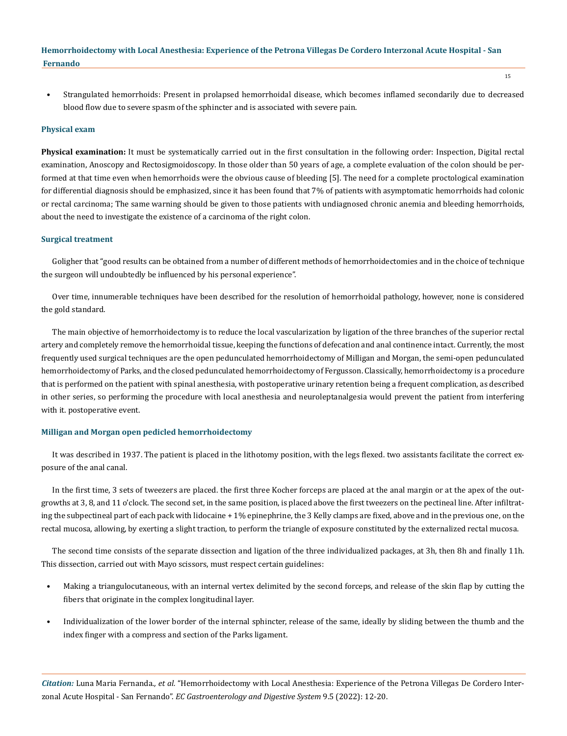• Strangulated hemorrhoids: Present in prolapsed hemorrhoidal disease, which becomes inflamed secondarily due to decreased blood flow due to severe spasm of the sphincter and is associated with severe pain.

#### **Physical exam**

**Physical examination:** It must be systematically carried out in the first consultation in the following order: Inspection, Digital rectal examination, Anoscopy and Rectosigmoidoscopy. In those older than 50 years of age, a complete evaluation of the colon should be performed at that time even when hemorrhoids were the obvious cause of bleeding [5]. The need for a complete proctological examination for differential diagnosis should be emphasized, since it has been found that 7% of patients with asymptomatic hemorrhoids had colonic or rectal carcinoma; The same warning should be given to those patients with undiagnosed chronic anemia and bleeding hemorrhoids, about the need to investigate the existence of a carcinoma of the right colon.

#### **Surgical treatment**

Goligher that "good results can be obtained from a number of different methods of hemorrhoidectomies and in the choice of technique the surgeon will undoubtedly be influenced by his personal experience".

Over time, innumerable techniques have been described for the resolution of hemorrhoidal pathology, however, none is considered the gold standard.

The main objective of hemorrhoidectomy is to reduce the local vascularization by ligation of the three branches of the superior rectal artery and completely remove the hemorrhoidal tissue, keeping the functions of defecation and anal continence intact. Currently, the most frequently used surgical techniques are the open pedunculated hemorrhoidectomy of Milligan and Morgan, the semi-open pedunculated hemorrhoidectomy of Parks, and the closed pedunculated hemorrhoidectomy of Fergusson. Classically, hemorrhoidectomy is a procedure that is performed on the patient with spinal anesthesia, with postoperative urinary retention being a frequent complication, as described in other series, so performing the procedure with local anesthesia and neuroleptanalgesia would prevent the patient from interfering with it. postoperative event.

## **Milligan and Morgan open pedicled hemorrhoidectomy**

It was described in 1937. The patient is placed in the lithotomy position, with the legs flexed. two assistants facilitate the correct exposure of the anal canal.

In the first time, 3 sets of tweezers are placed. the first three Kocher forceps are placed at the anal margin or at the apex of the outgrowths at 3, 8, and 11 o'clock. The second set, in the same position, is placed above the first tweezers on the pectineal line. After infiltrating the subpectineal part of each pack with lidocaine + 1% epinephrine, the 3 Kelly clamps are fixed, above and in the previous one, on the rectal mucosa, allowing, by exerting a slight traction, to perform the triangle of exposure constituted by the externalized rectal mucosa.

The second time consists of the separate dissection and ligation of the three individualized packages, at 3h, then 8h and finally 11h. This dissection, carried out with Mayo scissors, must respect certain guidelines:

- Making a triangulocutaneous, with an internal vertex delimited by the second forceps, and release of the skin flap by cutting the fibers that originate in the complex longitudinal layer.
- Individualization of the lower border of the internal sphincter, release of the same, ideally by sliding between the thumb and the index finger with a compress and section of the Parks ligament.

*Citation:* Luna Maria Fernanda*., et al.* "Hemorrhoidectomy with Local Anesthesia: Experience of the Petrona Villegas De Cordero Interzonal Acute Hospital - San Fernando". *EC Gastroenterology and Digestive System* 9.5 (2022): 12-20.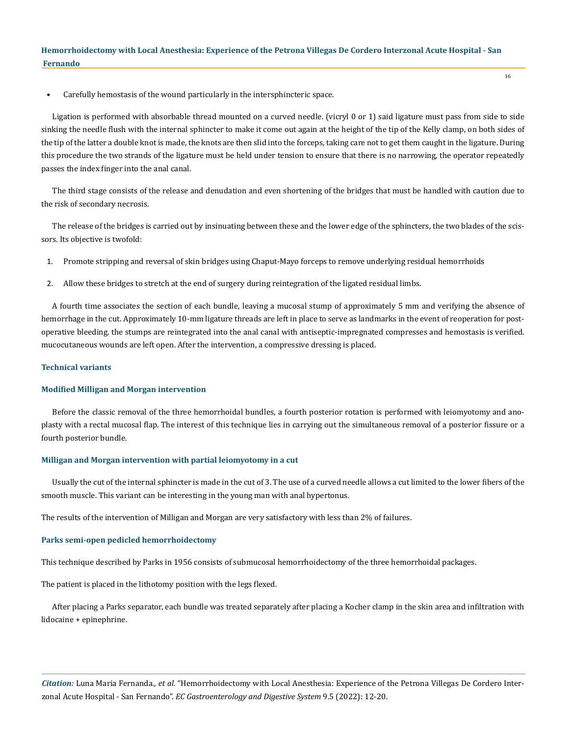• Carefully hemostasis of the wound particularly in the intersphincteric space.

Ligation is performed with absorbable thread mounted on a curved needle. (vicryl 0 or 1) said ligature must pass from side to side sinking the needle flush with the internal sphincter to make it come out again at the height of the tip of the Kelly clamp, on both sides of the tip of the latter a double knot is made, the knots are then slid into the forceps, taking care not to get them caught in the ligature. During this procedure the two strands of the ligature must be held under tension to ensure that there is no narrowing, the operator repeatedly passes the index finger into the anal canal.

The third stage consists of the release and denudation and even shortening of the bridges that must be handled with caution due to the risk of secondary necrosis.

The release of the bridges is carried out by insinuating between these and the lower edge of the sphincters, the two blades of the scissors. Its objective is twofold:

- 1. Promote stripping and reversal of skin bridges using Chaput-Mayo forceps to remove underlying residual hemorrhoids
- 2. Allow these bridges to stretch at the end of surgery during reintegration of the ligated residual limbs.

A fourth time associates the section of each bundle, leaving a mucosal stump of approximately 5 mm and verifying the absence of hemorrhage in the cut. Approximately 10-mm ligature threads are left in place to serve as landmarks in the event of reoperation for postoperative bleeding. the stumps are reintegrated into the anal canal with antiseptic-impregnated compresses and hemostasis is verified. mucocutaneous wounds are left open. After the intervention, a compressive dressing is placed.

#### **Technical variants**

#### **Modified Milligan and Morgan intervention**

Before the classic removal of the three hemorrhoidal bundles, a fourth posterior rotation is performed with leiomyotomy and anoplasty with a rectal mucosal flap. The interest of this technique lies in carrying out the simultaneous removal of a posterior fissure or a fourth posterior bundle.

## **Milligan and Morgan intervention with partial leiomyotomy in a cut**

Usually the cut of the internal sphincter is made in the cut of 3. The use of a curved needle allows a cut limited to the lower fibers of the smooth muscle. This variant can be interesting in the young man with anal hypertonus.

The results of the intervention of Milligan and Morgan are very satisfactory with less than 2% of failures.

## **Parks semi-open pedicled hemorrhoidectomy**

This technique described by Parks in 1956 consists of submucosal hemorrhoidectomy of the three hemorrhoidal packages.

The patient is placed in the lithotomy position with the legs flexed.

After placing a Parks separator, each bundle was treated separately after placing a Kocher clamp in the skin area and infiltration with lidocaine + epinephrine.

*Citation:* Luna Maria Fernanda*., et al.* "Hemorrhoidectomy with Local Anesthesia: Experience of the Petrona Villegas De Cordero Interzonal Acute Hospital - San Fernando". *EC Gastroenterology and Digestive System* 9.5 (2022): 12-20.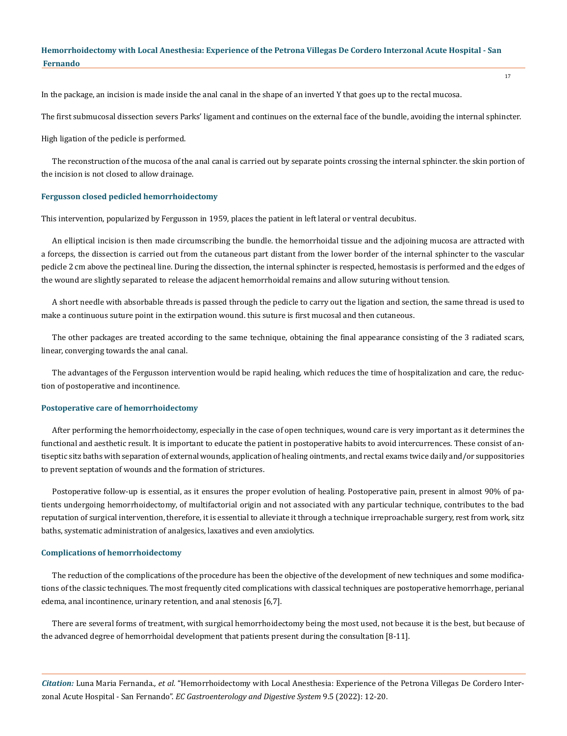In the package, an incision is made inside the anal canal in the shape of an inverted Y that goes up to the rectal mucosa.

The first submucosal dissection severs Parks' ligament and continues on the external face of the bundle, avoiding the internal sphincter.

High ligation of the pedicle is performed.

The reconstruction of the mucosa of the anal canal is carried out by separate points crossing the internal sphincter. the skin portion of the incision is not closed to allow drainage.

## **Fergusson closed pedicled hemorrhoidectomy**

This intervention, popularized by Fergusson in 1959, places the patient in left lateral or ventral decubitus.

An elliptical incision is then made circumscribing the bundle. the hemorrhoidal tissue and the adjoining mucosa are attracted with a forceps, the dissection is carried out from the cutaneous part distant from the lower border of the internal sphincter to the vascular pedicle 2 cm above the pectineal line. During the dissection, the internal sphincter is respected, hemostasis is performed and the edges of the wound are slightly separated to release the adjacent hemorrhoidal remains and allow suturing without tension.

A short needle with absorbable threads is passed through the pedicle to carry out the ligation and section, the same thread is used to make a continuous suture point in the extirpation wound. this suture is first mucosal and then cutaneous.

The other packages are treated according to the same technique, obtaining the final appearance consisting of the 3 radiated scars, linear, converging towards the anal canal.

The advantages of the Fergusson intervention would be rapid healing, which reduces the time of hospitalization and care, the reduction of postoperative and incontinence.

## **Postoperative care of hemorrhoidectomy**

After performing the hemorrhoidectomy, especially in the case of open techniques, wound care is very important as it determines the functional and aesthetic result. It is important to educate the patient in postoperative habits to avoid intercurrences. These consist of antiseptic sitz baths with separation of external wounds, application of healing ointments, and rectal exams twice daily and/or suppositories to prevent septation of wounds and the formation of strictures.

Postoperative follow-up is essential, as it ensures the proper evolution of healing. Postoperative pain, present in almost 90% of patients undergoing hemorrhoidectomy, of multifactorial origin and not associated with any particular technique, contributes to the bad reputation of surgical intervention, therefore, it is essential to alleviate it through a technique irreproachable surgery, rest from work, sitz baths, systematic administration of analgesics, laxatives and even anxiolytics.

#### **Complications of hemorrhoidectomy**

The reduction of the complications of the procedure has been the objective of the development of new techniques and some modifications of the classic techniques. The most frequently cited complications with classical techniques are postoperative hemorrhage, perianal edema, anal incontinence, urinary retention, and anal stenosis [6,7].

There are several forms of treatment, with surgical hemorrhoidectomy being the most used, not because it is the best, but because of the advanced degree of hemorrhoidal development that patients present during the consultation [8-11].

*Citation:* Luna Maria Fernanda*., et al.* "Hemorrhoidectomy with Local Anesthesia: Experience of the Petrona Villegas De Cordero Interzonal Acute Hospital - San Fernando". *EC Gastroenterology and Digestive System* 9.5 (2022): 12-20.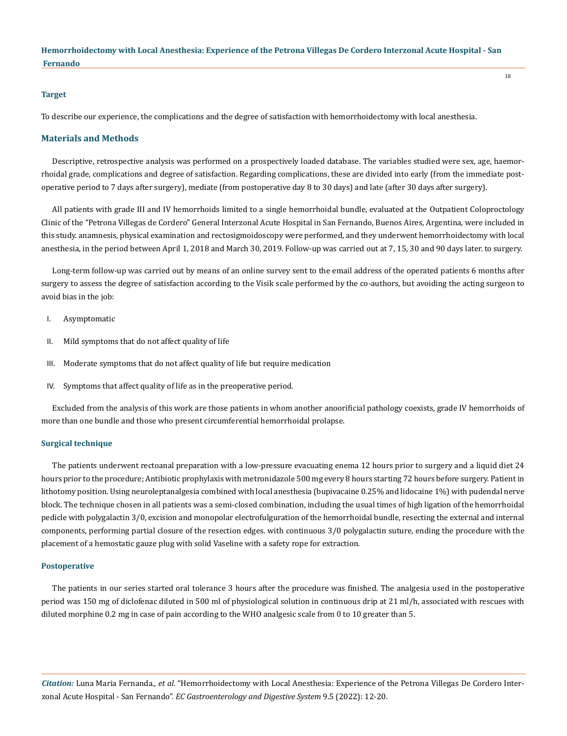#### **Target**

To describe our experience, the complications and the degree of satisfaction with hemorrhoidectomy with local anesthesia.

## **Materials and Methods**

Descriptive, retrospective analysis was performed on a prospectively loaded database. The variables studied were sex, age, haemorrhoidal grade, complications and degree of satisfaction. Regarding complications, these are divided into early (from the immediate postoperative period to 7 days after surgery), mediate (from postoperative day 8 to 30 days) and late (after 30 days after surgery).

All patients with grade III and IV hemorrhoids limited to a single hemorrhoidal bundle, evaluated at the Outpatient Coloproctology Clinic of the "Petrona Villegas de Cordero" General Interzonal Acute Hospital in San Fernando, Buenos Aires, Argentina, were included in this study. anamnesis, physical examination and rectosigmoidoscopy were performed, and they underwent hemorrhoidectomy with local anesthesia, in the period between April 1, 2018 and March 30, 2019. Follow-up was carried out at 7, 15, 30 and 90 days later. to surgery.

Long-term follow-up was carried out by means of an online survey sent to the email address of the operated patients 6 months after surgery to assess the degree of satisfaction according to the Visik scale performed by the co-authors, but avoiding the acting surgeon to avoid bias in the job:

- I. Asymptomatic
- II. Mild symptoms that do not affect quality of life
- III. Moderate symptoms that do not affect quality of life but require medication
- IV. Symptoms that affect quality of life as in the preoperative period.

Excluded from the analysis of this work are those patients in whom another anoorificial pathology coexists, grade IV hemorrhoids of more than one bundle and those who present circumferential hemorrhoidal prolapse.

#### **Surgical technique**

The patients underwent rectoanal preparation with a low-pressure evacuating enema 12 hours prior to surgery and a liquid diet 24 hours prior to the procedure; Antibiotic prophylaxis with metronidazole 500 mg every 8 hours starting 72 hours before surgery. Patient in lithotomy position. Using neuroleptanalgesia combined with local anesthesia (bupivacaine 0.25% and lidocaine 1%) with pudendal nerve block. The technique chosen in all patients was a semi-closed combination, including the usual times of high ligation of the hemorrhoidal pedicle with polygalactin 3/0, excision and monopolar electrofulguration of the hemorrhoidal bundle, resecting the external and internal components, performing partial closure of the resection edges. with continuous 3/0 polygalactin suture, ending the procedure with the placement of a hemostatic gauze plug with solid Vaseline with a safety rope for extraction.

#### **Postoperative**

The patients in our series started oral tolerance 3 hours after the procedure was finished. The analgesia used in the postoperative period was 150 mg of diclofenac diluted in 500 ml of physiological solution in continuous drip at 21 ml/h, associated with rescues with diluted morphine 0.2 mg in case of pain according to the WHO analgesic scale from 0 to 10 greater than 5.

*Citation:* Luna Maria Fernanda*., et al.* "Hemorrhoidectomy with Local Anesthesia: Experience of the Petrona Villegas De Cordero Interzonal Acute Hospital - San Fernando". *EC Gastroenterology and Digestive System* 9.5 (2022): 12-20.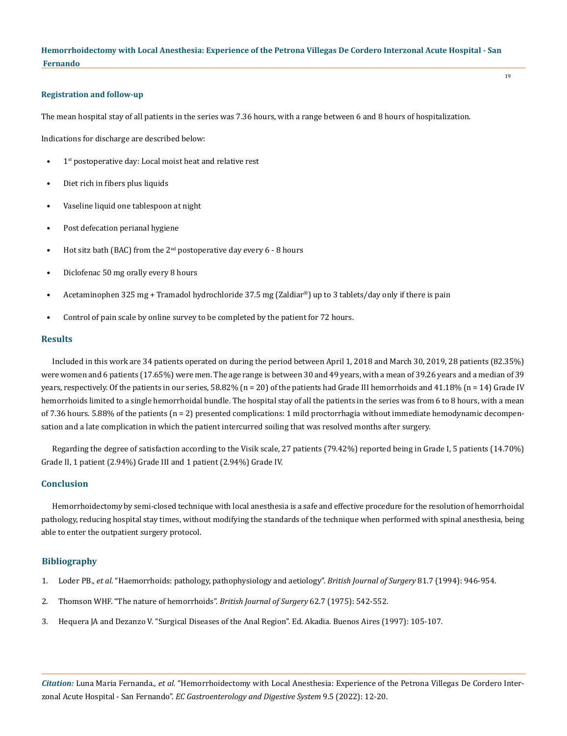19

#### **Registration and follow-up**

The mean hospital stay of all patients in the series was 7.36 hours, with a range between 6 and 8 hours of hospitalization.

Indications for discharge are described below:

- 1<sup>st</sup> postoperative day: Local moist heat and relative rest
- Diet rich in fibers plus liquids
- Vaseline liquid one tablespoon at night
- Post defecation perianal hygiene
- Hot sitz bath (BAC) from the  $2<sup>nd</sup>$  postoperative day every 6 8 hours
- Diclofenac 50 mg orally every 8 hours
- Acetaminophen 325 mg + Tramadol hydrochloride 37.5 mg (Zaldiar®) up to 3 tablets/day only if there is pain
- Control of pain scale by online survey to be completed by the patient for 72 hours.

#### **Results**

Included in this work are 34 patients operated on during the period between April 1, 2018 and March 30, 2019, 28 patients (82.35%) were women and 6 patients (17.65%) were men. The age range is between 30 and 49 years, with a mean of 39.26 years and a median of 39 years, respectively. Of the patients in our series, 58.82% (n = 20) of the patients had Grade III hemorrhoids and 41.18% (n = 14) Grade IV hemorrhoids limited to a single hemorrhoidal bundle. The hospital stay of all the patients in the series was from 6 to 8 hours, with a mean of 7.36 hours. 5.88% of the patients (n = 2) presented complications: 1 mild proctorrhagia without immediate hemodynamic decompensation and a late complication in which the patient intercurred soiling that was resolved months after surgery.

Regarding the degree of satisfaction according to the Visik scale, 27 patients (79.42%) reported being in Grade I, 5 patients (14.70%) Grade II, 1 patient (2.94%) Grade III and 1 patient (2.94%) Grade IV.

## **Conclusion**

Hemorrhoidectomy by semi-closed technique with local anesthesia is a safe and effective procedure for the resolution of hemorrhoidal pathology, reducing hospital stay times, without modifying the standards of the technique when performed with spinal anesthesia, being able to enter the outpatient surgery protocol.

#### **Bibliography**

- 1. Loder PB., *et al*[. "Haemorrhoids: pathology, pathophysiology and aetiology".](https://pubmed.ncbi.nlm.nih.gov/7922085/) *British Journal of Surgery* 81.7 (1994): 946-954.
- 2. [Thomson WHF. "The nature of hemorrhoids".](https://pubmed.ncbi.nlm.nih.gov/1174785/) *British Journal of Surgery* 62.7 (1975): 542-552.
- 3. Hequera JA and Dezanzo V. "Surgical Diseases of the Anal Region". Ed. Akadia. Buenos Aires (1997): 105-107.

*Citation:* Luna Maria Fernanda*., et al.* "Hemorrhoidectomy with Local Anesthesia: Experience of the Petrona Villegas De Cordero Interzonal Acute Hospital - San Fernando". *EC Gastroenterology and Digestive System* 9.5 (2022): 12-20.